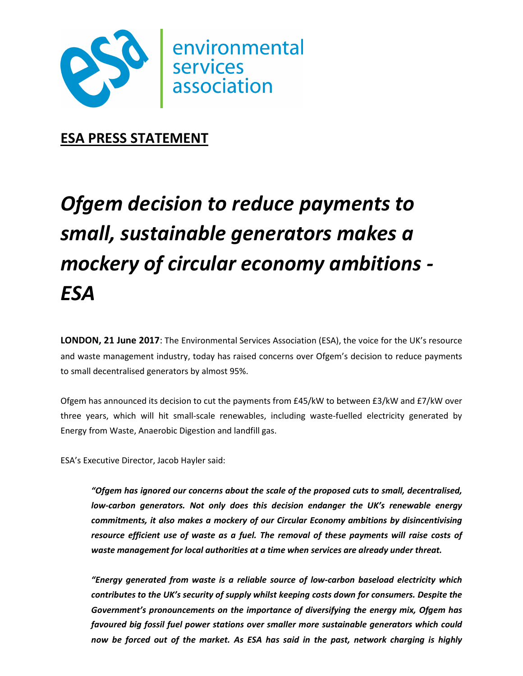

## **ESA PRESS STATEMENT**

# *Ofgem decision to reduce payments to small, sustainable generators makes a mockery of circular economy ambitions - ESA*

**LONDON, 21 June 2017**: The Environmental Services Association (ESA), the voice for the UK's resource and waste management industry, today has raised concerns over Ofgem's decision to reduce payments to small decentralised generators by almost 95%.

Ofgem has announced its decision to cut the payments from £45/kW to between £3/kW and £7/kW over three years, which will hit small-scale renewables, including waste-fuelled electricity generated by Energy from Waste, Anaerobic Digestion and landfill gas.

ESA's Executive Director, Jacob Hayler said:

*"Ofgem has ignored our concerns about the scale of the proposed cuts to small, decentralised, low-carbon generators. Not only does this decision endanger the UK's renewable energy commitments, it also makes a mockery of our Circular Economy ambitions by disincentivising resource efficient use of waste as a fuel. The removal of these payments will raise costs of waste management for local authorities at a time when services are already under threat.* 

*"Energy generated from waste is a reliable source of low-carbon baseload electricity which contributes to the UK's security of supply whilst keeping costs down for consumers. Despite the Government's pronouncements on the importance of diversifying the energy mix, Ofgem has favoured big fossil fuel power stations over smaller more sustainable generators which could now be forced out of the market. As ESA has said in the past, network charging is highly*